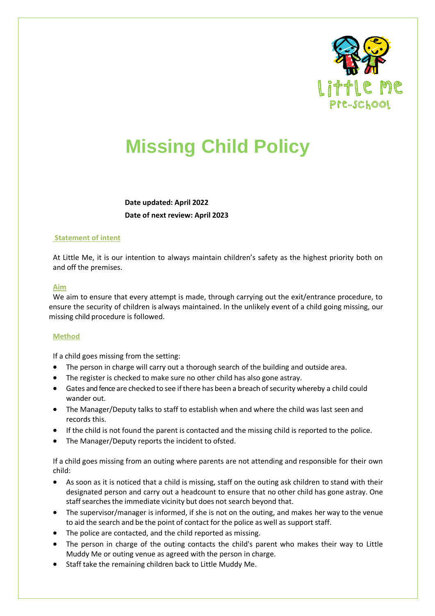

# **Missing Child Policy**

**Date updated: April 2022 Date of next review: April 2023**

#### **Statement of intent**

At Little Me, it is our intention to always maintain children's safety as the highest priority both on and off the premises.

#### **Aim**

We aim to ensure that every attempt is made, through carrying out the exit/entrance procedure, to ensure the security of children is always maintained. In the unlikely event of a child going missing, our missing child procedure is followed.

### **Method**

If a child goes missing from the setting:

- The person in charge will carry out a thorough search of the building and outside area.
- The register is checked to make sure no other child has also gone astray.
- Gates and fence are checked to see if there has been a breach of security whereby a child could wander out.
- The Manager/Deputy talks to staff to establish when and where the child was last seen and records this.
- If the child is not found the parent is contacted and the missing child is reported to the police.
- The Manager/Deputy reports the incident to ofsted.

If a child goes missing from an outing where parents are not attending and responsible for their own child:

- As soon as it is noticed that a child is missing, staff on the outing ask children to stand with their designated person and carry out a headcount to ensure that no other child has gone astray. One staff searches the immediate vicinity but does not search beyond that.
- The supervisor/manager is informed, if she is not on the outing, and makes her way to the venue to aid the search and be the point of contact for the police as well as support staff.
- The police are contacted, and the child reported as missing.
- The person in charge of the outing contacts the child's parent who makes their way to Little Muddy Me or outing venue as agreed with the person in charge.
- Staff take the remaining children back to Little Muddy Me.